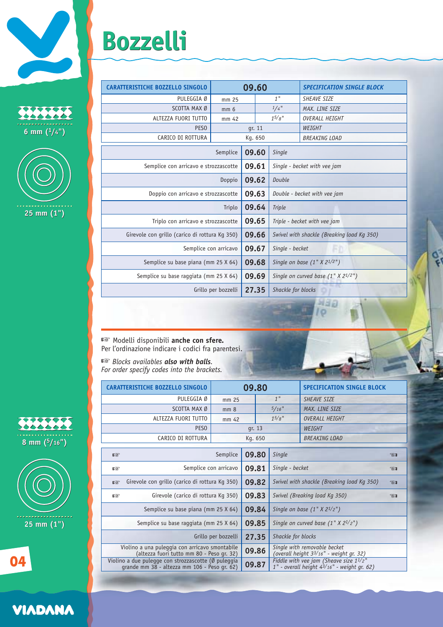## **Bozzelli Bozzelli**

| <b>CO</b><br>-------<br>$6 \text{ mm}$ (1/4" |
|----------------------------------------------|



| PULEGGIA Ø                                     | mm 25           |        |        | 1"                                         | SHEAVE SIZE          |  |
|------------------------------------------------|-----------------|--------|--------|--------------------------------------------|----------------------|--|
| SCOTTA MAX Ø                                   | mm <sub>6</sub> |        |        | $1/4$ "                                    | MAX. LINE SIZE       |  |
| ALTEZZA FUORI TUTTO                            | mm 42           |        |        | $1^{5}/8$ "                                | OVERALL HEIGHT       |  |
| PES <sub>0</sub>                               |                 | qr. 11 |        |                                            | WEIGHT               |  |
| CARICO DI ROTTURA                              | Kg. 650         |        |        |                                            | <b>BREAKING LOAD</b> |  |
| 09.60<br>Semplice                              |                 |        | Single |                                            |                      |  |
| Semplice con arricavo e strozzascotte          |                 | 09.61  |        | Single - becket with vee jam               |                      |  |
| Doppio                                         |                 | 09.62  |        | Double                                     |                      |  |
| Doppio con arricavo e strozzascotte            |                 | 09.63  |        | Double - becket with vee jam               |                      |  |
|                                                | Triplo          | 09.64  |        | <b>Triple</b>                              |                      |  |
| Triplo con arricavo e strozzascotte            |                 | 09.65  |        | Triple - becket with vee jam               |                      |  |
| Girevole con grillo (carico di rottura Kg 350) |                 | 09.66  |        | Swivel with shackle (Breaking load Kg 350) |                      |  |
| Semplice con arricavo                          |                 |        | 09.67  | Single - becket<br>m                       |                      |  |
| Semplice su base piana (mm 25 X 64)            |                 |        | 09.68  | Single on base $(1'' X 2^{1/2''})$         |                      |  |
| Semplice su base raggiata (mm 25 X 64)         |                 |        | 09.69  | Single on curved base $(1" X 21/2")$       |                      |  |
| Grillo per bozzelli                            |                 |        | 27.35  | Shackle for blocks                         |                      |  |
|                                                |                 |        |        |                                            |                      |  |

**CARATTERISTICHE BOZZELLO SINGOLO 09.60** *SPECIFICATION SINGLE BLOCK*

☞ Modelli disponibili **anche con sfere.** Per l'ordinazione indicare i codici fra parentesi.

grande mm 38 - altezza mm 106 - Peso gr. 62)

☞ *Blocks availables also with balls. For order specify codes into the brackets.*

|                                                                                                     | <b>CARATTERISTICHE BOZZELLO SINGOLO</b>        | 09.80                          |         |                 |                                                                                                          | <b>SPECIFICATION SINGLE BLOCK</b> |              |  |  |  |
|-----------------------------------------------------------------------------------------------------|------------------------------------------------|--------------------------------|---------|-----------------|----------------------------------------------------------------------------------------------------------|-----------------------------------|--------------|--|--|--|
|                                                                                                     | PULEGGIA Ø                                     | mm 25                          |         | 1 <sup>''</sup> |                                                                                                          | <b>SHEAVE SIZE</b>                |              |  |  |  |
|                                                                                                     | SCOTTA MAX Ø                                   | mm <sub>8</sub>                |         |                 | $5/16$ "<br>MAX. LINE SIZE                                                                               |                                   |              |  |  |  |
|                                                                                                     | ALTEZZA FUORI TUTTO                            | mm 42                          |         |                 | $1^{5/8}$ "<br>OVERALL HEIGHT                                                                            |                                   |              |  |  |  |
|                                                                                                     | PES <sub>0</sub>                               |                                | qr. 13  |                 |                                                                                                          | WEIGHT                            |              |  |  |  |
|                                                                                                     | CARICO DI ROTTURA                              |                                | Kg. 650 |                 |                                                                                                          | <b>BREAKING LOAD</b>              |              |  |  |  |
|                                                                                                     |                                                |                                |         |                 |                                                                                                          |                                   |              |  |  |  |
| 略                                                                                                   |                                                | Semplice<br>09.80              |         |                 | Single                                                                                                   |                                   | 721          |  |  |  |
| 密                                                                                                   |                                                | Semplice con arricavo<br>09.81 |         |                 | Single - becket                                                                                          |                                   | $\otimes$    |  |  |  |
| 啼                                                                                                   | Girevole con grillo (carico di rottura Kg 350) |                                | 09.82   |                 | Swivel with shackle (Breaking load Kg 350)                                                               |                                   | $\mathbb{Z}$ |  |  |  |
| 密                                                                                                   | Girevole (carico di rottura Kg 350)            |                                |         | 09.83           | Swivel (Breaking load Kg 350)                                                                            |                                   |              |  |  |  |
| Semplice su base piana (mm 25 X 64)                                                                 |                                                |                                | 09.84   |                 | Single on base $(1" X 21/2")$                                                                            |                                   |              |  |  |  |
| Semplice su base raggiata (mm 25 X 64)                                                              |                                                |                                | 09.85   |                 | Single on curved base $(1" X 21/2")$                                                                     |                                   |              |  |  |  |
| Grillo per bozzelli                                                                                 |                                                |                                | 27.35   |                 | Shackle for blocks                                                                                       |                                   |              |  |  |  |
| Violino a una puleggia con arricavo smontabile<br>(altezza fuori tutto mm 80 - Peso gr. 32)         |                                                |                                | 09.86   |                 | Single with removable becket<br>(overall height 33/16" - weight gr. 32)                                  |                                   |              |  |  |  |
| Violino a due pulegge con strozzascotte (Ø puleggia<br>grande mm 38 - altezza mm 106 - Peso gr. 62) |                                                |                                | 09.87   |                 | Fiddle with vee jam (Sheave size $1^{1/2}$ "<br>$1"$ - overall height $4\frac{3}{16}$ " - weight ar, 62) |                                   |              |  |  |  |

*1" - overall height 43/16" - weight gr. 62)*

wap l o





**04**